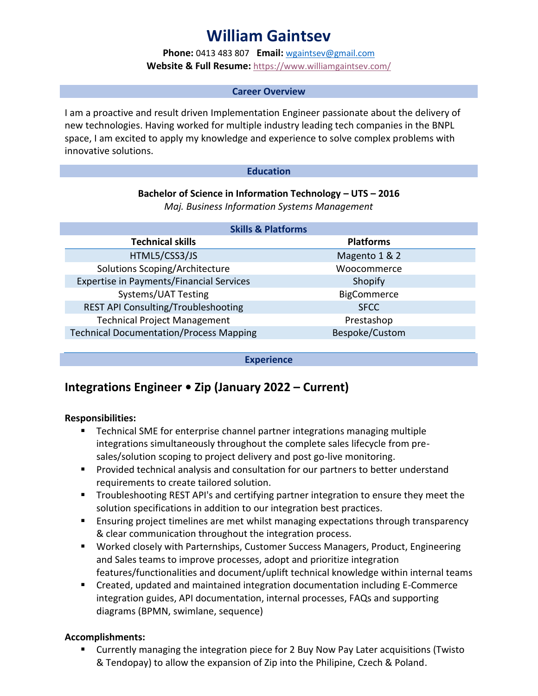# **William Gaintsev**

**Phone:** 0413 483 807 **Email:** [wgaintsev@gmail.com](mailto:wgaintsev@gmail.com) **Website & Full Resume:** <https://www.williamgaintsev.com/>

#### **Career Overview**

I am a proactive and result driven Implementation Engineer passionate about the delivery of new technologies. Having worked for multiple industry leading tech companies in the BNPL space, I am excited to apply my knowledge and experience to solve complex problems with innovative solutions.

#### **Education**

# **Bachelor of Science in Information Technology – UTS – 2016**

*Maj. Business Information Systems Management*

| <b>Skills &amp; Platforms</b>                   |                  |
|-------------------------------------------------|------------------|
| <b>Technical skills</b>                         | <b>Platforms</b> |
| HTML5/CSS3/JS                                   | Magento 1 & 2    |
| Solutions Scoping/Architecture                  | Woocommerce      |
| <b>Expertise in Payments/Financial Services</b> | Shopify          |
| Systems/UAT Testing                             | BigCommerce      |
| REST API Consulting/Troubleshooting             | <b>SFCC</b>      |
| <b>Technical Project Management</b>             | Prestashop       |
| <b>Technical Documentation/Process Mapping</b>  | Bespoke/Custom   |
|                                                 |                  |

**Experience**

# **Integrations Engineer • Zip (January 2022 – Current)**

### **Responsibilities:**

- Technical SME for enterprise channel partner integrations managing multiple integrations simultaneously throughout the complete sales lifecycle from presales/solution scoping to project delivery and post go-live monitoring.
- **Provided technical analysis and consultation for our partners to better understand** requirements to create tailored solution.
- Troubleshooting REST API's and certifying partner integration to ensure they meet the solution specifications in addition to our integration best practices.
- **Ensuring project timelines are met whilst managing expectations through transparency** & clear communication throughout the integration process.
- Worked closely with Parternships, Customer Success Managers, Product, Engineering and Sales teams to improve processes, adopt and prioritize integration features/functionalities and document/uplift technical knowledge within internal teams
- Created, updated and maintained integration documentation including E-Commerce integration guides, API documentation, internal processes, FAQs and supporting diagrams (BPMN, swimlane, sequence)

### **Accomplishments:**

 Currently managing the integration piece for 2 Buy Now Pay Later acquisitions (Twisto & Tendopay) to allow the expansion of Zip into the Philipine, Czech & Poland.